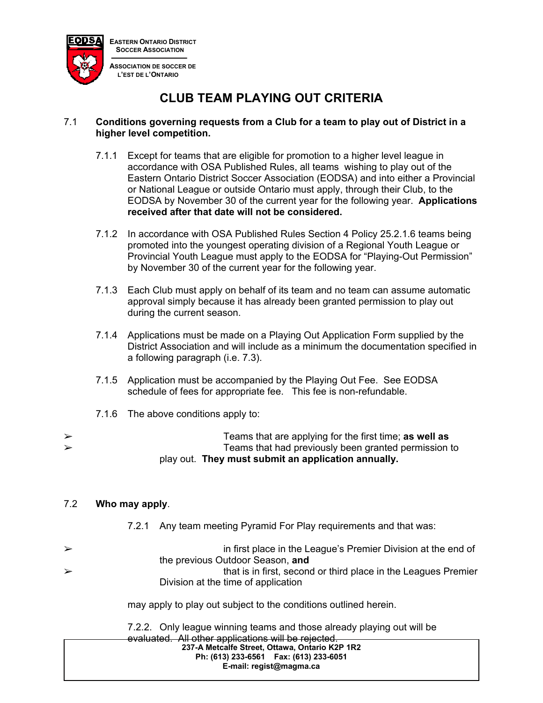

**CLUB TEAM PLAYING OUT CRITERIA**

#### 7.1 **Conditions governing requests from a Club for a team to play out of District in a higher level competition.**

- 7.1.1 Except for teams that are eligible for promotion to a higher level league in accordance with OSA Published Rules, all teams wishing to play out of the Eastern Ontario District Soccer Association (EODSA) and into either a Provincial or National League or outside Ontario must apply, through their Club, to the EODSA by November 30 of the current year for the following year. **Applications received after that date will not be considered.**
- 7.1.2 In accordance with OSA Published Rules Section 4 Policy 25.2.1.6 teams being promoted into the youngest operating division of a Regional Youth League or Provincial Youth League must apply to the EODSA for "Playing-Out Permission" by November 30 of the current year for the following year.
- 7.1.3 Each Club must apply on behalf of its team and no team can assume automatic approval simply because it has already been granted permission to play out during the current season.
- 7.1.4 Applications must be made on a Playing Out Application Form supplied by the District Association and will include as a minimum the documentation specified in a following paragraph (i.e. 7.3).
- 7.1.5 Application must be accompanied by the Playing Out Fee. See EODSA schedule of fees for appropriate fee. This fee is non-refundable.
- 7.1.6 The above conditions apply to:

|   | play out. They must submit an application annually.    |
|---|--------------------------------------------------------|
| ➤ | Teams that had previously been granted permission to   |
| ➤ | Teams that are applying for the first time; as well as |

# 7.2 **Who may apply**.

- 7.2.1 Any team meeting Pyramid For Play requirements and that was:
- $\triangleright$  in first place in the League's Premier Division at the end of the previous Outdoor Season, **and**  $\triangleright$ Division at the time of application

may apply to play out subject to the conditions outlined herein.

**237-A Metcalfe Street, Ottawa, Ontario K2P 1R2 Ph: (613) 233-6561 Fax: (613) 233-6051 E-mail: regist@magma.ca**  7.2.2. Only league winning teams and those already playing out will be evaluated. All other applications will be rejected.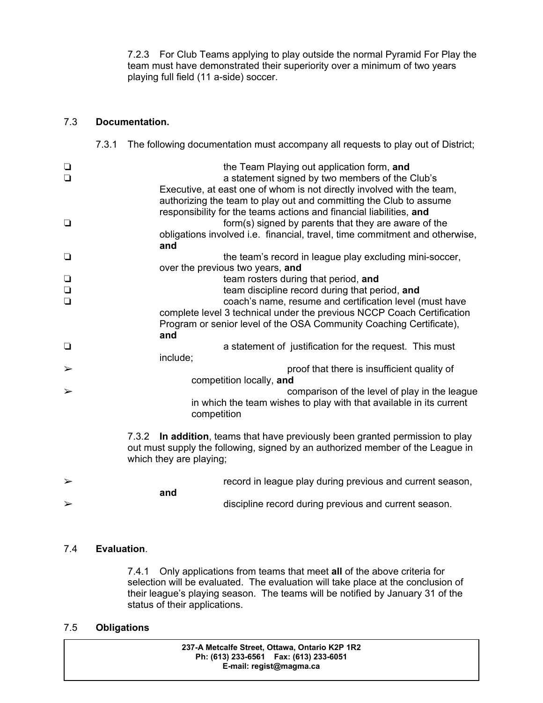7.2.3 For Club Teams applying to play outside the normal Pyramid For Play the team must have demonstrated their superiority over a minimum of two years playing full field (11 a-side) soccer.

### 7.3 **Documentation.**

|                       | 7.3.1 |                                                                                                                                                                                                                   | The following documentation must accompany all requests to play out of District;                                                                                                                                                              |  |
|-----------------------|-------|-------------------------------------------------------------------------------------------------------------------------------------------------------------------------------------------------------------------|-----------------------------------------------------------------------------------------------------------------------------------------------------------------------------------------------------------------------------------------------|--|
| $\Box$<br>$\Box$      |       |                                                                                                                                                                                                                   | the Team Playing out application form, and<br>a statement signed by two members of the Club's<br>Executive, at east one of whom is not directly involved with the team,<br>authorizing the team to play out and committing the Club to assume |  |
| $\Box$                |       | responsibility for the teams actions and financial liabilities, and<br>form(s) signed by parents that they are aware of the<br>obligations involved i.e. financial, travel, time commitment and otherwise,<br>and |                                                                                                                                                                                                                                               |  |
| $\Box$                |       |                                                                                                                                                                                                                   | the team's record in league play excluding mini-soccer,                                                                                                                                                                                       |  |
|                       |       |                                                                                                                                                                                                                   | over the previous two years, and                                                                                                                                                                                                              |  |
| $\Box$                |       |                                                                                                                                                                                                                   | team rosters during that period, and                                                                                                                                                                                                          |  |
| $\Box$                |       |                                                                                                                                                                                                                   | team discipline record during that period, and                                                                                                                                                                                                |  |
| $\Box$                |       |                                                                                                                                                                                                                   | coach's name, resume and certification level (must have                                                                                                                                                                                       |  |
|                       |       |                                                                                                                                                                                                                   | complete level 3 technical under the previous NCCP Coach Certification                                                                                                                                                                        |  |
|                       |       |                                                                                                                                                                                                                   | Program or senior level of the OSA Community Coaching Certificate),                                                                                                                                                                           |  |
|                       |       | and                                                                                                                                                                                                               |                                                                                                                                                                                                                                               |  |
| $\Box$                |       |                                                                                                                                                                                                                   | a statement of justification for the request. This must                                                                                                                                                                                       |  |
|                       |       | include;                                                                                                                                                                                                          |                                                                                                                                                                                                                                               |  |
| $\blacktriangleright$ |       |                                                                                                                                                                                                                   | proof that there is insufficient quality of                                                                                                                                                                                                   |  |
|                       |       |                                                                                                                                                                                                                   | competition locally, and                                                                                                                                                                                                                      |  |
| $\blacktriangleright$ |       |                                                                                                                                                                                                                   | comparison of the level of play in the league                                                                                                                                                                                                 |  |
|                       |       |                                                                                                                                                                                                                   | in which the team wishes to play with that available in its current                                                                                                                                                                           |  |
|                       |       | competition                                                                                                                                                                                                       |                                                                                                                                                                                                                                               |  |
|                       |       |                                                                                                                                                                                                                   |                                                                                                                                                                                                                                               |  |
|                       |       | which they are playing;                                                                                                                                                                                           | 7.3.2 In addition, teams that have previously been granted permission to play<br>out must supply the following, signed by an authorized member of the League in                                                                               |  |
|                       |       |                                                                                                                                                                                                                   |                                                                                                                                                                                                                                               |  |
| $\blacktriangleright$ |       |                                                                                                                                                                                                                   | record in league play during previous and current season,                                                                                                                                                                                     |  |
| $\blacktriangleright$ | and   |                                                                                                                                                                                                                   | discipline record during previous and current season.                                                                                                                                                                                         |  |

# 7.4 **Evaluation**.

 7.4.1 Only applications from teams that meet **all** of the above criteria for selection will be evaluated. The evaluation will take place at the conclusion of their league's playing season. The teams will be notified by January 31 of the status of their applications.

### 7.5 **Obligations**

**237-A Metcalfe Street, Ottawa, Ontario K2P 1R2 Ph: (613) 233-6561 Fax: (613) 233-6051 E-mail: regist@magma.ca**